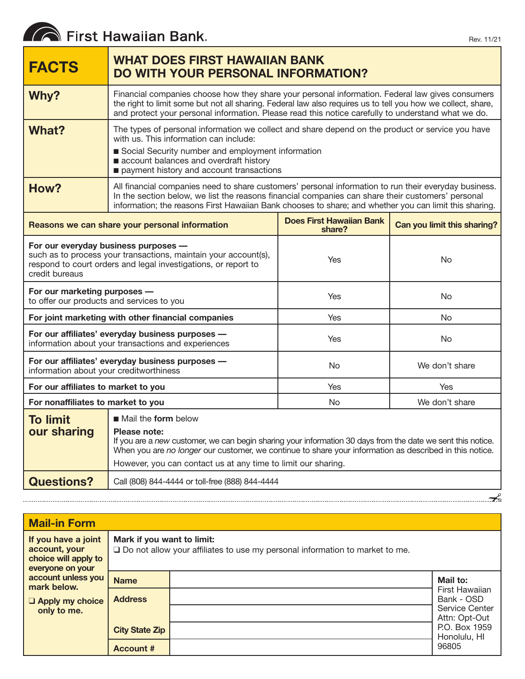# First Hawaiian Bank.

| <b>FACTS</b>                                                                                                                                                                                | <b>WHAT DOES FIRST HAWAIIAN BANK</b><br><b>DO WITH YOUR PERSONAL INFORMATION?</b>                                                                                                                                                                                                                                              |                                           |                             |  |
|---------------------------------------------------------------------------------------------------------------------------------------------------------------------------------------------|--------------------------------------------------------------------------------------------------------------------------------------------------------------------------------------------------------------------------------------------------------------------------------------------------------------------------------|-------------------------------------------|-----------------------------|--|
| Why?                                                                                                                                                                                        | Financial companies choose how they share your personal information. Federal law gives consumers<br>the right to limit some but not all sharing. Federal law also requires us to tell you how we collect, share,<br>and protect your personal information. Please read this notice carefully to understand what we do.         |                                           |                             |  |
| What?                                                                                                                                                                                       | The types of personal information we collect and share depend on the product or service you have<br>with us. This information can include:<br>Social Security number and employment information<br>account balances and overdraft history<br>payment history and account transactions                                          |                                           |                             |  |
| How?                                                                                                                                                                                        | All financial companies need to share customers' personal information to run their everyday business.<br>In the section below, we list the reasons financial companies can share their customers' personal<br>information; the reasons First Hawaiian Bank chooses to share; and whether you can limit this sharing.           |                                           |                             |  |
| Reasons we can share your personal information                                                                                                                                              |                                                                                                                                                                                                                                                                                                                                | <b>Does First Hawaiian Bank</b><br>share? | Can you limit this sharing? |  |
| For our everyday business purposes -<br>such as to process your transactions, maintain your account(s),<br>respond to court orders and legal investigations, or report to<br>credit bureaus |                                                                                                                                                                                                                                                                                                                                | Yes                                       | No                          |  |
| For our marketing purposes -<br>to offer our products and services to you                                                                                                                   |                                                                                                                                                                                                                                                                                                                                | Yes                                       | No                          |  |
| For joint marketing with other financial companies                                                                                                                                          |                                                                                                                                                                                                                                                                                                                                | Yes                                       | No                          |  |
| For our affiliates' everyday business purposes -<br>information about your transactions and experiences                                                                                     |                                                                                                                                                                                                                                                                                                                                | Yes                                       | No                          |  |
| For our affiliates' everyday business purposes -<br>information about your creditworthiness                                                                                                 |                                                                                                                                                                                                                                                                                                                                | No                                        | We don't share              |  |
| For our affiliates to market to you                                                                                                                                                         |                                                                                                                                                                                                                                                                                                                                | Yes                                       | Yes                         |  |
| For nonaffiliates to market to you                                                                                                                                                          |                                                                                                                                                                                                                                                                                                                                | <b>No</b>                                 | We don't share              |  |
| <b>To limit</b><br>our sharing                                                                                                                                                              | Mail the form below<br>Please note:<br>If you are a new customer, we can begin sharing your information 30 days from the date we sent this notice.<br>When you are no longer our customer, we continue to share your information as described in this notice.<br>However, you can contact us at any time to limit our sharing. |                                           |                             |  |
| <b>Questions?</b>                                                                                                                                                                           | Call (808) 844-4444 or toll-free (888) 844-4444                                                                                                                                                                                                                                                                                |                                           |                             |  |

| <b>Mail-in Form</b>                                                              |                                                                                                                      |  |                                                                 |
|----------------------------------------------------------------------------------|----------------------------------------------------------------------------------------------------------------------|--|-----------------------------------------------------------------|
| If you have a joint<br>account, your<br>choice will apply to<br>everyone on your | Mark if you want to limit:<br>$\square$ Do not allow your affiliates to use my personal information to market to me. |  |                                                                 |
| account unless you<br>mark below.<br><b>Q Apply my choice</b><br>only to me.     | <b>Name</b>                                                                                                          |  | Mail to:                                                        |
|                                                                                  | <b>Address</b>                                                                                                       |  | First Hawaiian<br>Bank - OSD<br>Service Center<br>Attn: Opt-Out |
|                                                                                  | <b>City State Zip</b>                                                                                                |  | P.O. Box 1959<br>Honolulu, HI                                   |
|                                                                                  | <b>Account #</b>                                                                                                     |  | 96805                                                           |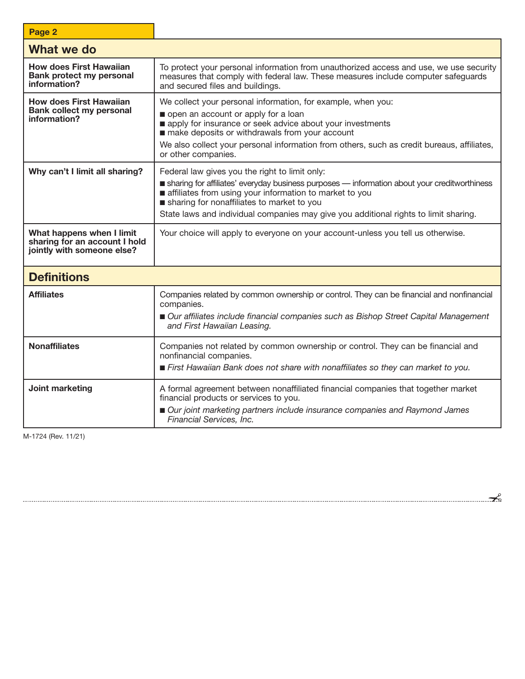| Page 2                                                                                   |                                                                                                                                                                                                                                                                                                                                                 |  |  |  |
|------------------------------------------------------------------------------------------|-------------------------------------------------------------------------------------------------------------------------------------------------------------------------------------------------------------------------------------------------------------------------------------------------------------------------------------------------|--|--|--|
| What we do                                                                               |                                                                                                                                                                                                                                                                                                                                                 |  |  |  |
| <b>How does First Hawaiian</b><br><b>Bank protect my personal</b><br>information?        | To protect your personal information from unauthorized access and use, we use security<br>measures that comply with federal law. These measures include computer safeguards<br>and secured files and buildings.                                                                                                                                 |  |  |  |
| <b>How does First Hawaiian</b><br><b>Bank collect my personal</b><br>information?        | We collect your personal information, for example, when you:<br>open an account or apply for a loan<br>apply for insurance or seek advice about your investments<br>make deposits or withdrawals from your account<br>We also collect your personal information from others, such as credit bureaus, affiliates,<br>or other companies.         |  |  |  |
| Why can't I limit all sharing?                                                           | Federal law gives you the right to limit only:<br>sharing for affiliates' everyday business purposes — information about your creditworthiness<br>affiliates from using your information to market to you<br>sharing for nonaffiliates to market to you<br>State laws and individual companies may give you additional rights to limit sharing. |  |  |  |
| What happens when I limit<br>sharing for an account I hold<br>jointly with someone else? | Your choice will apply to everyone on your account-unless you tell us otherwise.                                                                                                                                                                                                                                                                |  |  |  |
| <b>Definitions</b>                                                                       |                                                                                                                                                                                                                                                                                                                                                 |  |  |  |
| <b>Affiliates</b>                                                                        | Companies related by common ownership or control. They can be financial and nonfinancial<br>companies.<br>Our affiliates include financial companies such as Bishop Street Capital Management<br>and First Hawaiian Leasing.                                                                                                                    |  |  |  |
| <b>Nonaffiliates</b>                                                                     | Companies not related by common ownership or control. They can be financial and<br>nonfinancial companies.<br>First Hawaiian Bank does not share with nonaffiliates so they can market to you.                                                                                                                                                  |  |  |  |
| Joint marketing                                                                          | A formal agreement between nonaffiliated financial companies that together market<br>financial products or services to you.<br>Our joint marketing partners include insurance companies and Raymond James<br>Financial Services, Inc.                                                                                                           |  |  |  |

M-1724 (Rev. 11/21)